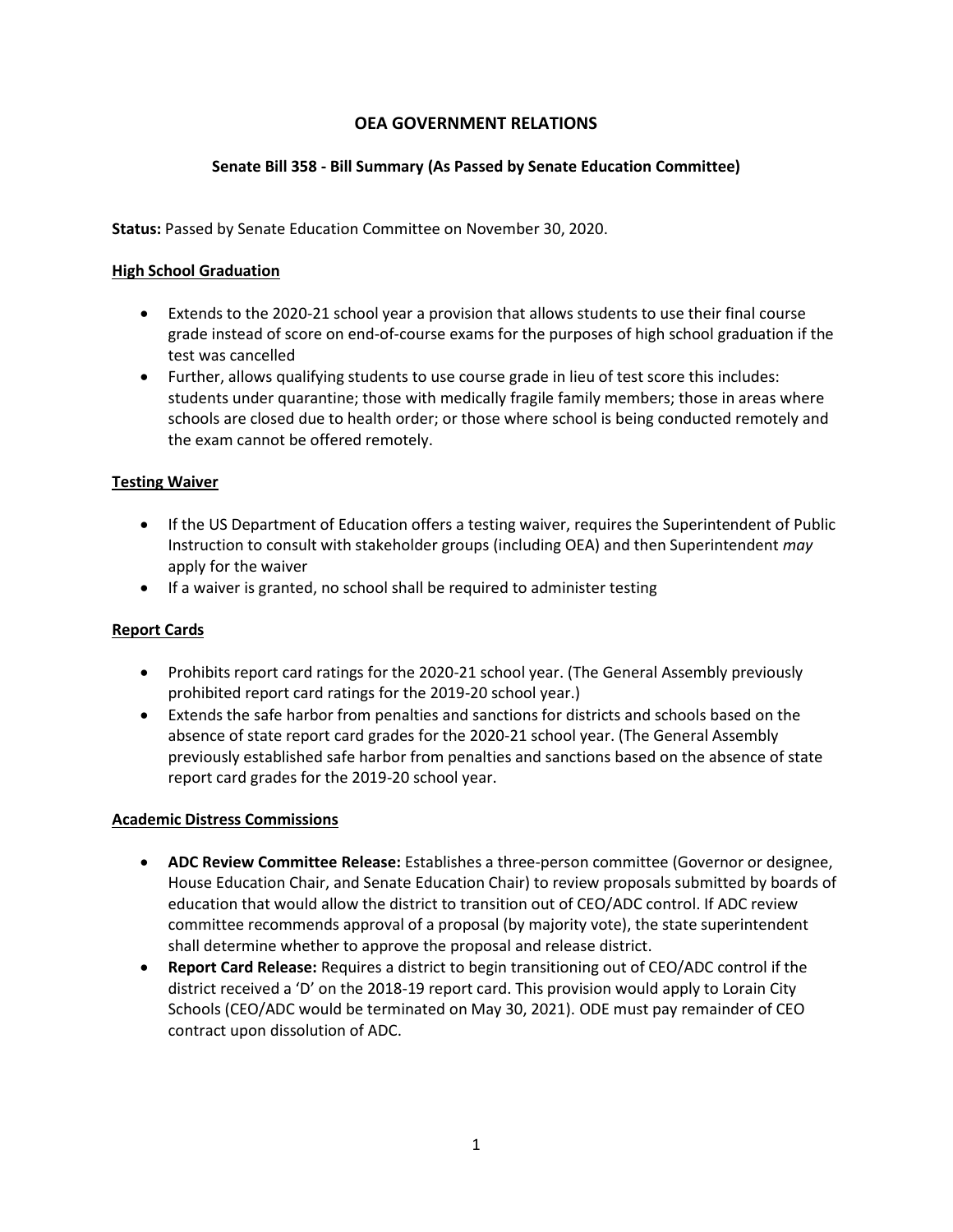# **OEA GOVERNMENT RELATIONS**

## **Senate Bill 358 - Bill Summary (As Passed by Senate Education Committee)**

**Status:** Passed by Senate Education Committee on November 30, 2020.

### **High School Graduation**

- Extends to the 2020-21 school year a provision that allows students to use their final course grade instead of score on end-of-course exams for the purposes of high school graduation if the test was cancelled
- Further, allows qualifying students to use course grade in lieu of test score this includes: students under quarantine; those with medically fragile family members; those in areas where schools are closed due to health order; or those where school is being conducted remotely and the exam cannot be offered remotely.

### **Testing Waiver**

- If the US Department of Education offers a testing waiver, requires the Superintendent of Public Instruction to consult with stakeholder groups (including OEA) and then Superintendent *may* apply for the waiver
- If a waiver is granted, no school shall be required to administer testing

### **Report Cards**

- Prohibits report card ratings for the 2020-21 school year. (The General Assembly previously prohibited report card ratings for the 2019-20 school year.)
- Extends the safe harbor from penalties and sanctions for districts and schools based on the absence of state report card grades for the 2020-21 school year. (The General Assembly previously established safe harbor from penalties and sanctions based on the absence of state report card grades for the 2019-20 school year.

### **Academic Distress Commissions**

- **ADC Review Committee Release:** Establishes a three-person committee (Governor or designee, House Education Chair, and Senate Education Chair) to review proposals submitted by boards of education that would allow the district to transition out of CEO/ADC control. If ADC review committee recommends approval of a proposal (by majority vote), the state superintendent shall determine whether to approve the proposal and release district.
- **Report Card Release:** Requires a district to begin transitioning out of CEO/ADC control if the district received a 'D' on the 2018-19 report card. This provision would apply to Lorain City Schools (CEO/ADC would be terminated on May 30, 2021). ODE must pay remainder of CEO contract upon dissolution of ADC.